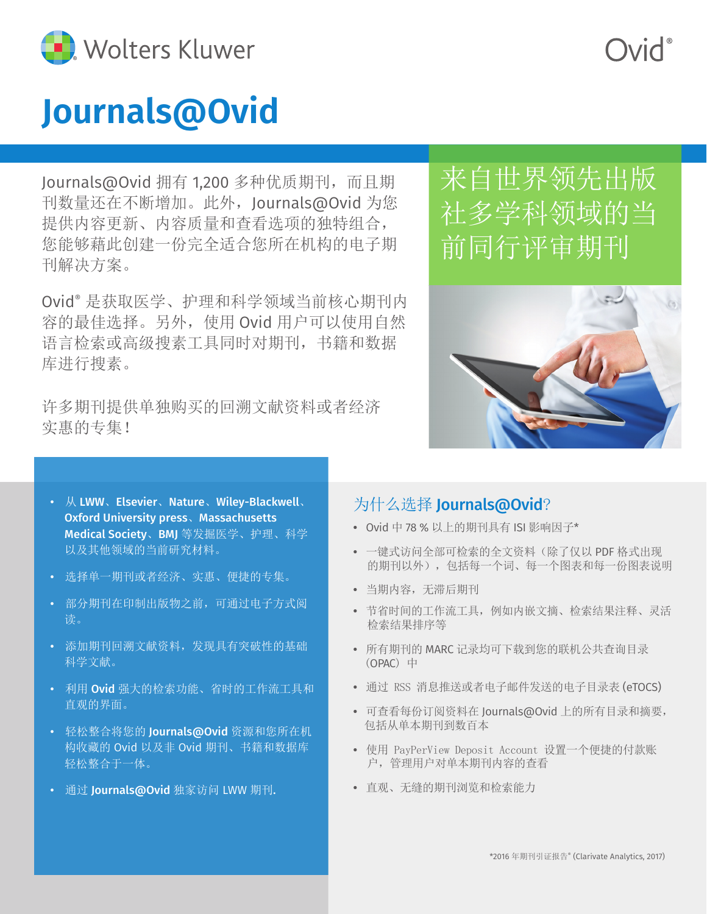

# **Journals@Ovid**

Journals@Ovid 拥有 1,200 多种优质期刊, 而且期 刊数量还在不断增加。此外,Journals@Ovid 为您 提供内容更新、内容质量和查看选项的独特组合, 您能够藉此创建一份完全适合您所在机构的电子期 刊解决方案。

Ovid® 是获取医学、护理和科学领域当前核心期刊内 容的最佳选择。另外,使用 Ovid 用户可以使用自然 语言检索或高级搜素工具同时对期刊,书籍和数据 库进行搜素。

许多期刊提供单独购买的回溯文献资料或者经济 实惠的专集!

## 来自世界领先出版 社多学科领域的当 前同行评审期刊



- 从 LWW、Elsevier、Nature、Wiley-Blackwell、 Oxford University press、Massachusetts Medical Society、BMJ 等发掘医学、护理、科学 以及其他领域的当前研究材料。
- 选择单一期刊或者经济、实惠、便捷的专集。
- 部分期刊在印制出版物之前,可通过电子方式阅 读。
- 添加期刊回溯文献资料,发现具有突破性的基础 科学文献。
- 利用 Ovid 强大的检索功能、省时的工作流工具和 直观的界面。
- 轻松整合将您的 Journals@Ovid 资源和您所在机 构收藏的 Ovid 以及非 Ovid 期刊、书籍和数据库 轻松整合于一体。
- 通过 Journals@Ovid 独家访问 LWW 期刊.

### 为什么选择 Journals@Ovid?

- **•** Ovid 中 78 % 以上的期刊具有 ISI 影响因子\*
- **•** 一键式访问全部可检索的全文资料(除了仅以 PDF 格式出现 的期刊以外),包括每一个词、每一个图表和每一份图表说明
- **•** 当期内容,无滞后期刊
- **•** 节省时间的工作流工具,例如内嵌文摘、检索结果注释、灵活 检索结果排序等
- **•** 所有期刊的 MARC 记录均可下载到您的联机公共查询目录 (OPAC) 中
- **•** 通过 RSS 消息推送或者电子邮件发送的电子目录表 (eTOCS)
- **•** 可查看每份订阅资料在 Journals@Ovid 上的所有目录和摘要, 包括从单本期刊到数百本
- **•** 使用 PayPerView Deposit Account 设置一个便捷的付款账 户,管理用户对单本期刊内容的查看
- **•** 直观、无缝的期刊浏览和检索能力